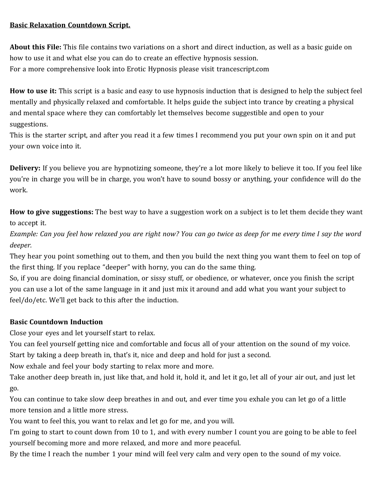#### **Basic Relaxation Countdown Script.**

**About this File:** This file contains two variations on a short and direct induction, as well as a basic guide on how to use it and what else you can do to create an effective hypnosis session. For a more comprehensive look into Erotic Hypnosis please visit trancescript.com

**How to use it:** This script is a basic and easy to use hypnosis induction that is designed to help the subject feel mentally and physically relaxed and comfortable. It helps guide the subject into trance by creating a physical and mental space where they can comfortably let themselves become suggestible and open to your suggestions.

This is the starter script, and after you read it a few times I recommend you put your own spin on it and put your own voice into it.

**Delivery:** If you believe you are hypnotizing someone, they're a lot more likely to believe it too. If you feel like you're in charge you will be in charge, you won't have to sound bossy or anything, your confidence will do the work.

**How to give suggestions:** The best way to have a suggestion work on a subject is to let them decide they want to accept it.

*Example: Can you feel how relaxed you are right now? You can go twice as deep for me every time I say the word deeper.*

They hear you point something out to them, and then you build the next thing you want them to feel on top of the first thing. If you replace "deeper" with horny, you can do the same thing.

So, if you are doing financial domination, or sissy stuff, or obedience, or whatever, once you finish the script you can use a lot of the same language in it and just mix it around and add what you want your subject to feel/do/etc. We'll get back to this after the induction.

# **Basic Countdown Induction**

Close your eyes and let yourself start to relax.

You can feel yourself getting nice and comfortable and focus all of your attention on the sound of my voice. Start by taking a deep breath in, that's it, nice and deep and hold for just a second.

Now exhale and feel your body starting to relax more and more.

Take another deep breath in, just like that, and hold it, hold it, and let it go, let all of your air out, and just let go.

You can continue to take slow deep breathes in and out, and ever time you exhale you can let go of a little more tension and a little more stress.

You want to feel this, you want to relax and let go for me, and you will.

I'm going to start to count down from 10 to 1, and with every number I count you are going to be able to feel yourself becoming more and more relaxed, and more and more peaceful.

By the time I reach the number 1 your mind will feel very calm and very open to the sound of my voice.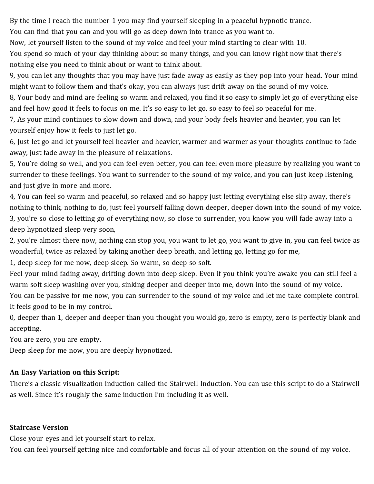By the time I reach the number 1 you may find yourself sleeping in a peaceful hypnotic trance.

You can find that you can and you will go as deep down into trance as you want to.

Now, let yourself listen to the sound of my voice and feel your mind starting to clear with 10.

You spend so much of your day thinking about so many things, and you can know right now that there's nothing else you need to think about or want to think about.

9, you can let any thoughts that you may have just fade away as easily as they pop into your head. Your mind might want to follow them and that's okay, you can always just drift away on the sound of my voice.

8, Your body and mind are feeling so warm and relaxed, you find it so easy to simply let go of everything else and feel how good it feels to focus on me. It's so easy to let go, so easy to feel so peaceful for me.

7, As your mind continues to slow down and down, and your body feels heavier and heavier, you can let yourself enjoy how it feels to just let go.

6, Just let go and let yourself feel heavier and heavier, warmer and warmer as your thoughts continue to fade away, just fade away in the pleasure of relaxations.

5, You're doing so well, and you can feel even better, you can feel even more pleasure by realizing you want to surrender to these feelings. You want to surrender to the sound of my voice, and you can just keep listening, and just give in more and more.

4, You can feel so warm and peaceful, so relaxed and so happy just letting everything else slip away, there's nothing to think, nothing to do, just feel yourself falling down deeper, deeper down into the sound of my voice. 3, you're so close to letting go of everything now, so close to surrender, you know you will fade away into a deep hypnotized sleep very soon,

2, you're almost there now, nothing can stop you, you want to let go, you want to give in, you can feel twice as wonderful, twice as relaxed by taking another deep breath, and letting go, letting go for me,

1, deep sleep for me now, deep sleep. So warm, so deep so soft.

Feel your mind fading away, drifting down into deep sleep. Even if you think you're awake you can still feel a warm soft sleep washing over you, sinking deeper and deeper into me, down into the sound of my voice.

You can be passive for me now, you can surrender to the sound of my voice and let me take complete control. It feels good to be in my control.

0, deeper than 1, deeper and deeper than you thought you would go, zero is empty, zero is perfectly blank and accepting.

You are zero, you are empty.

Deep sleep for me now, you are deeply hypnotized.

# **An Easy Variation on this Script:**

There's a classic visualization induction called the Stairwell Induction. You can use this script to do a Stairwell as well. Since it's roughly the same induction I'm including it as well.

#### **Staircase Version**

Close your eyes and let yourself start to relax.

You can feel yourself getting nice and comfortable and focus all of your attention on the sound of my voice.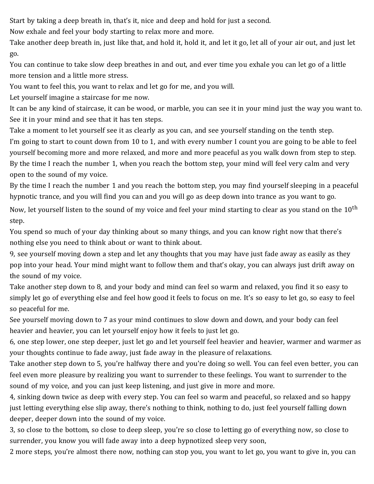Start by taking a deep breath in, that's it, nice and deep and hold for just a second.

Now exhale and feel your body starting to relax more and more.

Take another deep breath in, just like that, and hold it, hold it, and let it go, let all of your air out, and just let go.

You can continue to take slow deep breathes in and out, and ever time you exhale you can let go of a little more tension and a little more stress.

You want to feel this, you want to relax and let go for me, and you will.

Let yourself imagine a staircase for me now.

It can be any kind of staircase, it can be wood, or marble, you can see it in your mind just the way you want to. See it in your mind and see that it has ten steps.

Take a moment to let yourself see it as clearly as you can, and see yourself standing on the tenth step. I'm going to start to count down from 10 to 1, and with every number I count you are going to be able to feel yourself becoming more and more relaxed, and more and more peaceful as you walk down from step to step. By the time I reach the number 1, when you reach the bottom step, your mind will feel very calm and very open to the sound of my voice.

By the time I reach the number 1 and you reach the bottom step, you may find yourself sleeping in a peaceful hypnotic trance, and you will find you can and you will go as deep down into trance as you want to go.

Now, let yourself listen to the sound of my voice and feel your mind starting to clear as you stand on the  $10^{\text{th}}$ step.

You spend so much of your day thinking about so many things, and you can know right now that there's nothing else you need to think about or want to think about.

9, see yourself moving down a step and let any thoughts that you may have just fade away as easily as they pop into your head. Your mind might want to follow them and that's okay, you can always just drift away on the sound of my voice.

Take another step down to 8, and your body and mind can feel so warm and relaxed, you find it so easy to simply let go of everything else and feel how good it feels to focus on me. It's so easy to let go, so easy to feel so peaceful for me.

See yourself moving down to 7 as your mind continues to slow down and down, and your body can feel heavier and heavier, you can let yourself enjoy how it feels to just let go.

6, one step lower, one step deeper, just let go and let yourself feel heavier and heavier, warmer and warmer as your thoughts continue to fade away, just fade away in the pleasure of relaxations.

Take another step down to 5, you're halfway there and you're doing so well. You can feel even better, you can feel even more pleasure by realizing you want to surrender to these feelings. You want to surrender to the sound of my voice, and you can just keep listening, and just give in more and more.

4, sinking down twice as deep with every step. You can feel so warm and peaceful, so relaxed and so happy just letting everything else slip away, there's nothing to think, nothing to do, just feel yourself falling down deeper, deeper down into the sound of my voice.

3, so close to the bottom, so close to deep sleep, you're so close to letting go of everything now, so close to surrender, you know you will fade away into a deep hypnotized sleep very soon,

2 more steps, you're almost there now, nothing can stop you, you want to let go, you want to give in, you can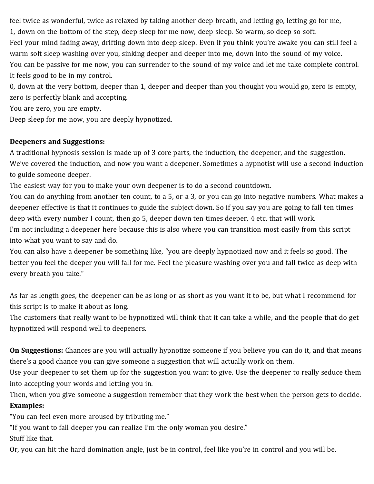feel twice as wonderful, twice as relaxed by taking another deep breath, and letting go, letting go for me, 1, down on the bottom of the step, deep sleep for me now, deep sleep. So warm, so deep so soft. Feel your mind fading away, drifting down into deep sleep. Even if you think you're awake you can still feel a warm soft sleep washing over you, sinking deeper and deeper into me, down into the sound of my voice. You can be passive for me now, you can surrender to the sound of my voice and let me take complete control. It feels good to be in my control.

0, down at the very bottom, deeper than 1, deeper and deeper than you thought you would go, zero is empty, zero is perfectly blank and accepting.

You are zero, you are empty.

Deep sleep for me now, you are deeply hypnotized.

### **Deepeners and Suggestions:**

A traditional hypnosis session is made up of 3 core parts, the induction, the deepener, and the suggestion. We've covered the induction, and now you want a deepener. Sometimes a hypnotist will use a second induction to guide someone deeper.

The easiest way for you to make your own deepener is to do a second countdown.

You can do anything from another ten count, to a 5, or a 3, or you can go into negative numbers. What makes a deepener effective is that it continues to guide the subject down. So if you say you are going to fall ten times deep with every number I count, then go 5, deeper down ten times deeper, 4 etc. that will work.

I'm not including a deepener here because this is also where you can transition most easily from this script into what you want to say and do.

You can also have a deepener be something like, "you are deeply hypnotized now and it feels so good. The better you feel the deeper you will fall for me. Feel the pleasure washing over you and fall twice as deep with every breath you take."

As far as length goes, the deepener can be as long or as short as you want it to be, but what I recommend for this script is to make it about as long.

The customers that really want to be hypnotized will think that it can take a while, and the people that do get hypnotized will respond well to deepeners.

**On Suggestions:** Chances are you will actually hypnotize someone if you believe you can do it, and that means there's a good chance you can give someone a suggestion that will actually work on them.

Use your deepener to set them up for the suggestion you want to give. Use the deepener to really seduce them into accepting your words and letting you in.

Then, when you give someone a suggestion remember that they work the best when the person gets to decide. **Examples:**

"You can feel even more aroused by tributing me."

"If you want to fall deeper you can realize I'm the only woman you desire."

Stuff like that.

Or, you can hit the hard domination angle, just be in control, feel like you're in control and you will be.